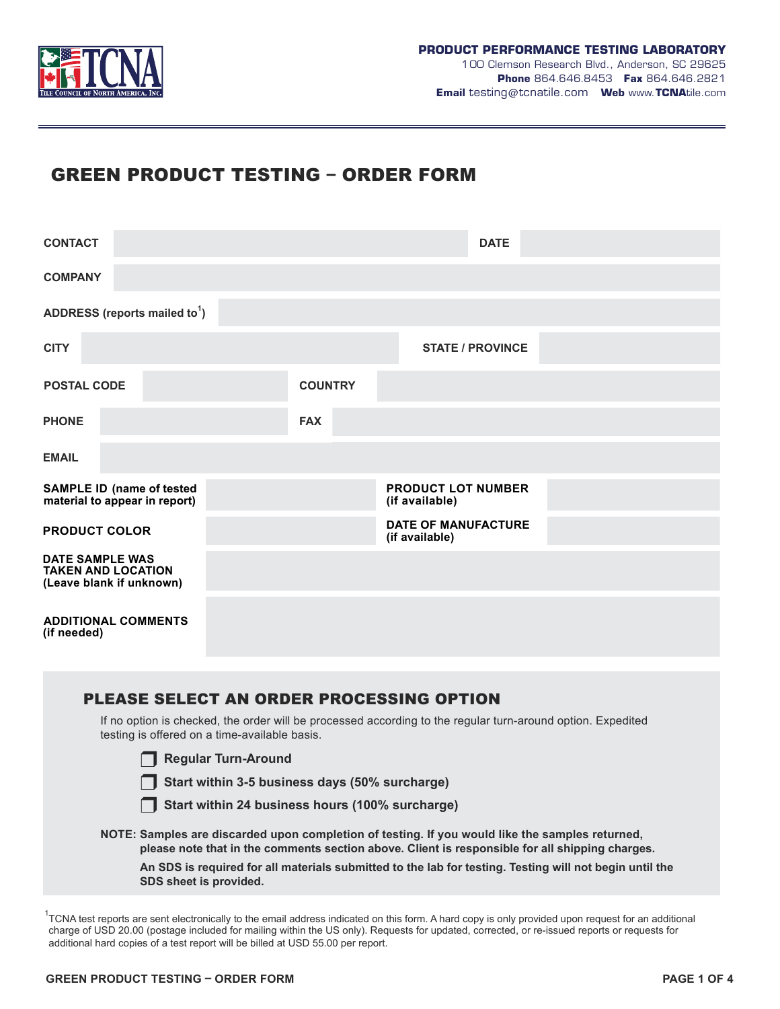

# GREEN PRODUCT TESTING – ORDER FORM

| <b>CONTACT</b>                                                                  |                                              | <b>DATE</b>             |  |  |  |  |
|---------------------------------------------------------------------------------|----------------------------------------------|-------------------------|--|--|--|--|
| <b>COMPANY</b>                                                                  |                                              |                         |  |  |  |  |
| ADDRESS (reports mailed to <sup>1</sup> )                                       |                                              |                         |  |  |  |  |
| <b>CITY</b>                                                                     |                                              | <b>STATE / PROVINCE</b> |  |  |  |  |
| <b>POSTAL CODE</b>                                                              | <b>COUNTRY</b>                               |                         |  |  |  |  |
| <b>PHONE</b>                                                                    | <b>FAX</b>                                   |                         |  |  |  |  |
| <b>EMAIL</b>                                                                    |                                              |                         |  |  |  |  |
| <b>SAMPLE ID (name of tested</b><br>material to appear in report)               | <b>PRODUCT LOT NUMBER</b><br>(if available)  |                         |  |  |  |  |
| <b>PRODUCT COLOR</b>                                                            | <b>DATE OF MANUFACTURE</b><br>(if available) |                         |  |  |  |  |
| <b>DATE SAMPLE WAS</b><br><b>TAKEN AND LOCATION</b><br>(Leave blank if unknown) |                                              |                         |  |  |  |  |
| <b>ADDITIONAL COMMENTS</b><br>(if needed)                                       |                                              |                         |  |  |  |  |

| PLEASE SELECT AN ORDER PROCESSING OPTION                                                                                                                                                           |
|----------------------------------------------------------------------------------------------------------------------------------------------------------------------------------------------------|
| If no option is checked, the order will be processed according to the regular turn-around option. Expedited<br>testing is offered on a time-available basis.                                       |
| <b>Regular Turn-Around</b>                                                                                                                                                                         |
| Start within 3-5 business days (50% surcharge)                                                                                                                                                     |
| Start within 24 business hours (100% surcharge)                                                                                                                                                    |
| NOTE: Samples are discarded upon completion of testing. If you would like the samples returned,<br>please note that in the comments section above. Client is responsible for all shipping charges. |
| An SDS is required for all materials submitted to the lab for testing. Testing will not begin until the<br>SDS sheet is provided.                                                                  |
|                                                                                                                                                                                                    |

 $1$ TCNA test reports are sent electronically to the email address indicated on this form. A hard copy is only provided upon request for an additional charge of USD 20.00 (postage included for mailing within the US only). Requests for updated, corrected, or re-issued reports or requests for additional hard copies of a test report will be billed at USD 55.00 per report.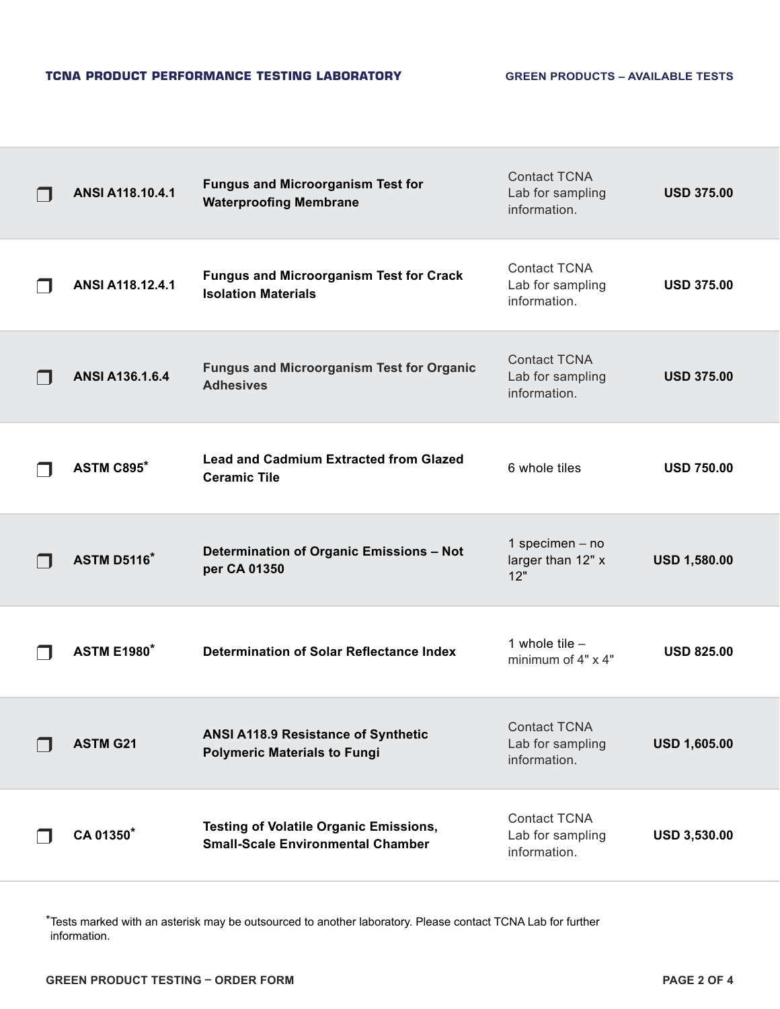| ANSI A118.10.4.1       | <b>Fungus and Microorganism Test for</b><br><b>Waterproofing Membrane</b>    | <b>Contact TCNA</b><br>Lab for sampling<br>information. | <b>USD 375.00</b>   |
|------------------------|------------------------------------------------------------------------------|---------------------------------------------------------|---------------------|
| ANSI A118.12.4.1       | <b>Fungus and Microorganism Test for Crack</b><br><b>Isolation Materials</b> | <b>Contact TCNA</b><br>Lab for sampling<br>information. | <b>USD 375.00</b>   |
| <b>ANSI A136.1.6.4</b> | <b>Fungus and Microorganism Test for Organic</b><br><b>Adhesives</b>         | <b>Contact TCNA</b><br>Lab for sampling<br>information. | <b>USD 375.00</b>   |
| ASTM C895*             | <b>Lead and Cadmium Extracted from Glazed</b><br><b>Ceramic Tile</b>         | 6 whole tiles                                           | <b>USD 750.00</b>   |
|                        |                                                                              |                                                         |                     |
| <b>ASTM D5116*</b>     | Determination of Organic Emissions - Not<br>per CA 01350                     | 1 specimen $-$ no<br>larger than 12" x<br>12"           | <b>USD 1,580.00</b> |
| <b>ASTM E1980*</b>     | Determination of Solar Reflectance Index                                     | 1 whole tile $-$<br>minimum of $4" \times 4"$           | <b>USD 825.00</b>   |
| <b>ASTM G21</b>        | ANSI A118.9 Resistance of Synthetic<br><b>Polymeric Materials to Fungi</b>   | <b>Contact TCNA</b><br>Lab for sampling<br>information. | <b>USD 1,605.00</b> |

\*Tests marked with an asterisk may be outsourced to another laboratory. Please contact TCNA Lab for further information.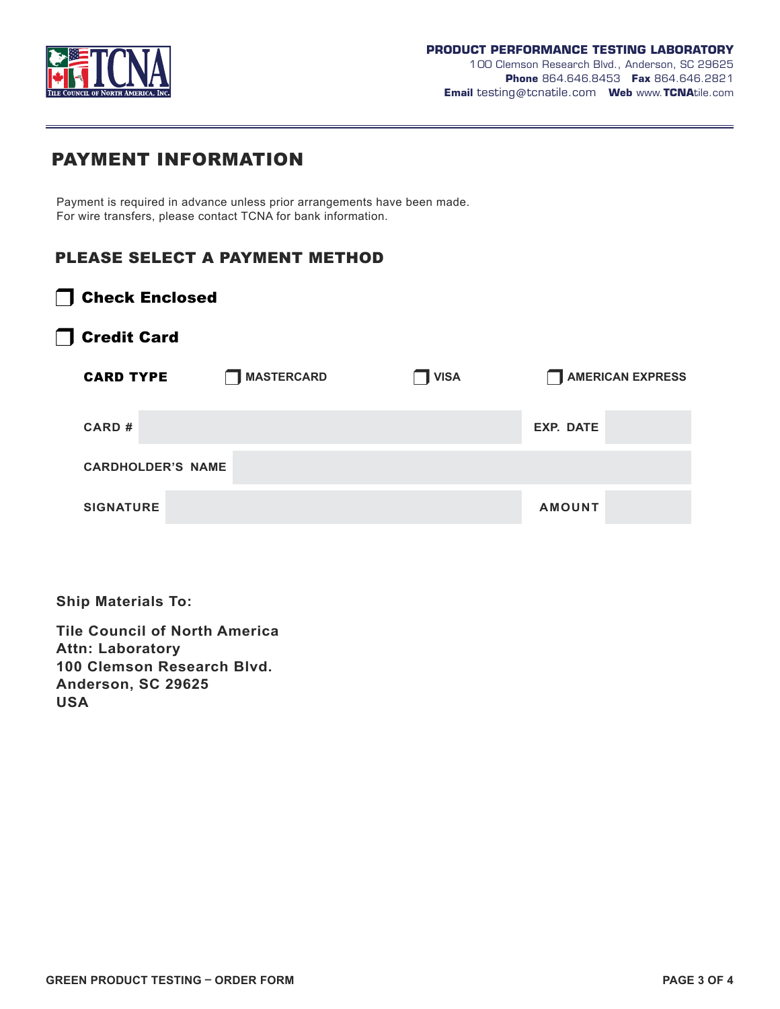

1 00 Clemson Research Blvd., Anderson, SC 29625 **Phone** 864.646.8453 **Fax** 864.646.2821 **Email** testing@tcnatile.com **Web** www.**TCNA**tile.com

## PAYMENT INFORMATION

Payment is required in advance unless prior arrangements have been made. For wire transfers, please contact TCNA for bank information.

### PLEASE SELECT A PAYMENT METHOD

| Check Enclosed |  |
|----------------|--|
|----------------|--|

### ❒ Credit Card

| <b>CARD TYPE</b> |                          | MASTERCARD | <b>VISA</b> | AMERICAN EXPRESS |
|------------------|--------------------------|------------|-------------|------------------|
| CARD#            |                          |            |             | <b>EXP. DATE</b> |
|                  | <b>CARDHOLDER'S NAME</b> |            |             |                  |
| <b>SIGNATURE</b> |                          |            |             | <b>AMOUNT</b>    |

**Ship Materials To:**

**Tile Council of North America Attn: Laboratory 100 Clemson Research Blvd. Anderson, SC 29625 USA**